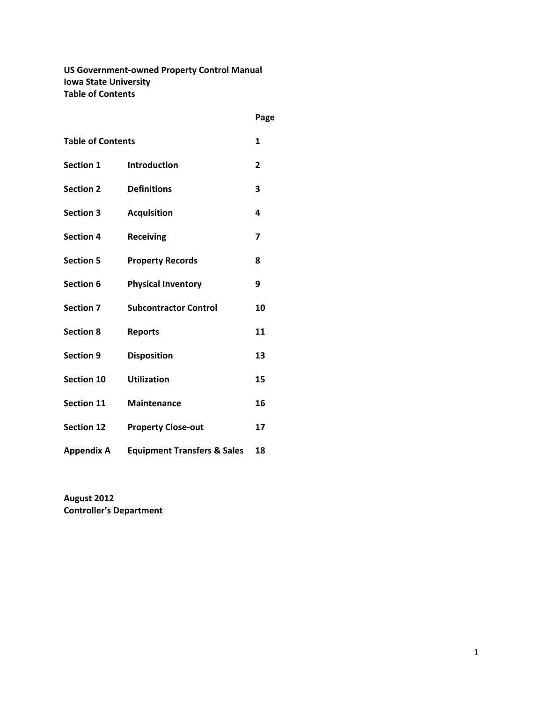**US Government‐owned Property Control Manual Iowa State University Table of Contents**

|                          |                                        | Page           |
|--------------------------|----------------------------------------|----------------|
| <b>Table of Contents</b> |                                        | 1              |
| Section 1                | Introduction                           | $\overline{2}$ |
| <b>Section 2</b>         | <b>Definitions</b>                     | 3              |
| <b>Section 3</b>         | <b>Acquisition</b>                     | 4              |
| <b>Section 4</b>         | <b>Receiving</b>                       | 7              |
| <b>Section 5</b>         | <b>Property Records</b>                | 8              |
| <b>Section 6</b>         | <b>Physical Inventory</b>              | 9              |
| <b>Section 7</b>         | <b>Subcontractor Control</b>           | 10             |
| <b>Section 8</b>         | <b>Reports</b>                         | 11             |
| <b>Section 9</b>         | <b>Disposition</b>                     | 13             |
| <b>Section 10</b>        | <b>Utilization</b>                     | 15             |
| <b>Section 11</b>        | <b>Maintenance</b>                     | 16             |
| <b>Section 12</b>        | <b>Property Close-out</b>              | 17             |
| <b>Appendix A</b>        | <b>Equipment Transfers &amp; Sales</b> | 18             |

**August 2012 Controller's Department**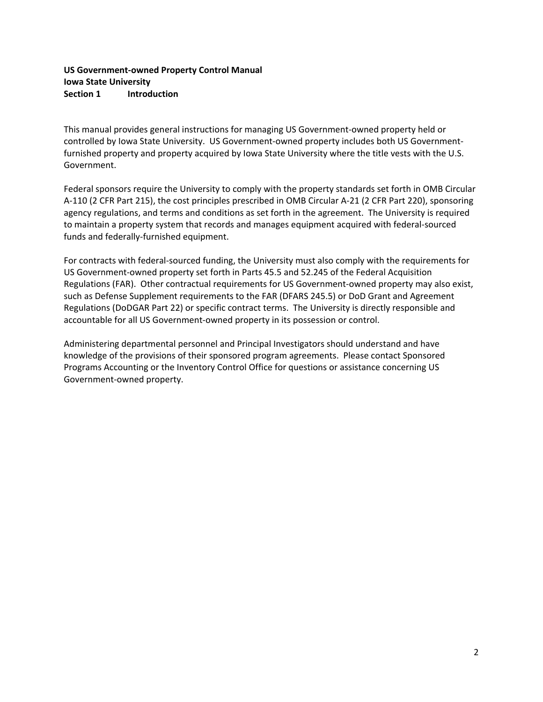# **US Government‐owned Property Control Manual Iowa State University Section 1 Introduction**

This manual provides general instructions for managing US Government‐owned property held or controlled by Iowa State University. US Government‐owned property includes both US Government‐ furnished property and property acquired by Iowa State University where the title vests with the U.S. Government.

Federal sponsors require the University to comply with the property standards set forth in OMB Circular A‐110 (2 CFR Part 215), the cost principles prescribed in OMB Circular A‐21 (2 CFR Part 220), sponsoring agency regulations, and terms and conditions as set forth in the agreement. The University is required to maintain a property system that records and manages equipment acquired with federal‐sourced funds and federally‐furnished equipment.

For contracts with federal‐sourced funding, the University must also comply with the requirements for US Government‐owned property set forth in Parts 45.5 and 52.245 of the Federal Acquisition Regulations (FAR). Other contractual requirements for US Government-owned property may also exist, such as Defense Supplement requirements to the FAR (DFARS 245.5) or DoD Grant and Agreement Regulations (DoDGAR Part 22) or specific contract terms. The University is directly responsible and accountable for all US Government‐owned property in its possession or control.

Administering departmental personnel and Principal Investigators should understand and have knowledge of the provisions of their sponsored program agreements. Please contact Sponsored Programs Accounting or the Inventory Control Office for questions or assistance concerning US Government‐owned property.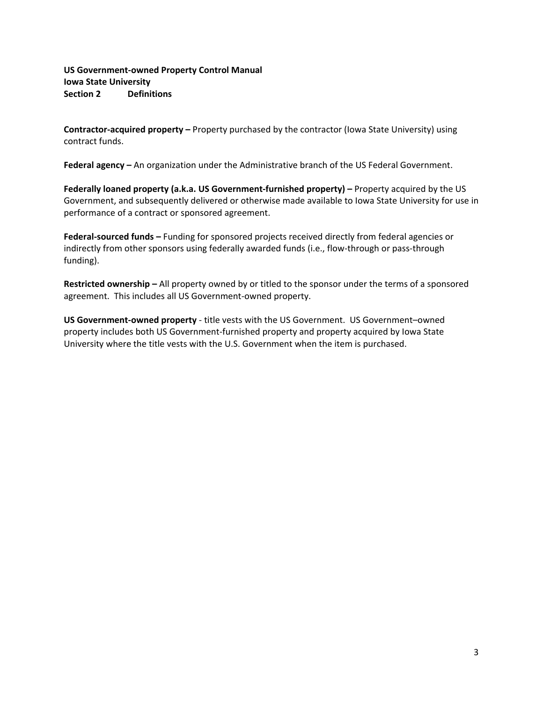### **US Government‐owned Property Control Manual Iowa State University Section 2 Definitions**

**Contractor‐acquired property –** Property purchased by the contractor (Iowa State University) using contract funds.

**Federal agency –** An organization under the Administrative branch of the US Federal Government.

**Federally loaned property (a.k.a. US Government‐furnished property) –** Property acquired by the US Government, and subsequently delivered or otherwise made available to Iowa State University for use in performance of a contract or sponsored agreement.

**Federal‐sourced funds –** Funding for sponsored projects received directly from federal agencies or indirectly from other sponsors using federally awarded funds (i.e., flow-through or pass-through funding).

**Restricted ownership –** All property owned by or titled to the sponsor under the terms of a sponsored agreement. This includes all US Government‐owned property.

**US Government‐owned property** ‐ title vests with the US Government. US Government–owned property includes both US Government‐furnished property and property acquired by Iowa State University where the title vests with the U.S. Government when the item is purchased.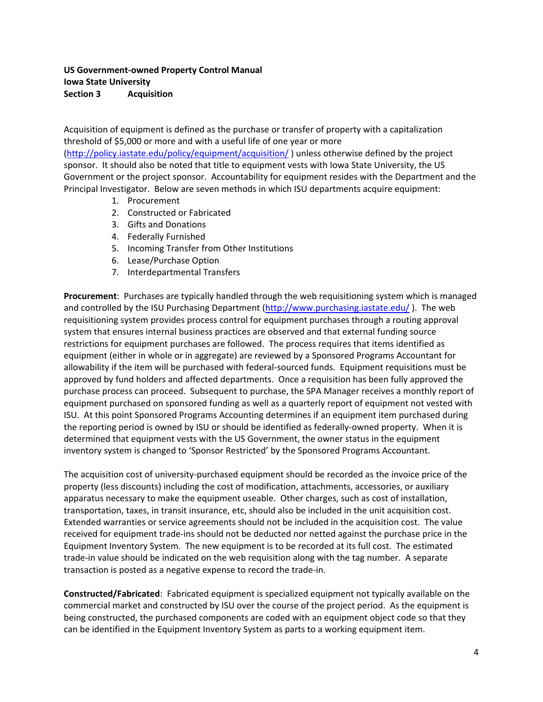## **US Government‐owned Property Control Manual Iowa State University Section 3 Acquisition**

Acquisition of equipment is defined as the purchase or transfer of property with a capitalization threshold of \$5,000 or more and with a useful life of one year or more (http://policy.iastate.edu/policy/equipment/acquisition/ ) unless otherwise defined by the project sponsor. It should also be noted that title to equipment vests with Iowa State University, the US Government or the project sponsor. Accountability for equipment resides with the Department and the Principal Investigator. Below are seven methods in which ISU departments acquire equipment:

- 1. Procurement
- 2. Constructed or Fabricated
- 3. Gifts and Donations
- 4. Federally Furnished
- 5. Incoming Transfer from Other Institutions
- 6. Lease/Purchase Option
- 7. Interdepartmental Transfers

**Procurement**: Purchases are typically handled through the web requisitioning system which is managed and controlled by the ISU Purchasing Department (http://www.purchasing.iastate.edu/ ). The web requisitioning system provides process control for equipment purchases through a routing approval system that ensures internal business practices are observed and that external funding source restrictions for equipment purchases are followed. The process requires that items identified as equipment (either in whole or in aggregate) are reviewed by a Sponsored Programs Accountant for allowability if the item will be purchased with federal‐sourced funds. Equipment requisitions must be approved by fund holders and affected departments. Once a requisition has been fully approved the purchase process can proceed. Subsequent to purchase, the SPA Manager receives a monthly report of equipment purchased on sponsored funding as well as a quarterly report of equipment not vested with ISU. At this point Sponsored Programs Accounting determines if an equipment item purchased during the reporting period is owned by ISU or should be identified as federally-owned property. When it is determined that equipment vests with the US Government, the owner status in the equipment inventory system is changed to 'Sponsor Restricted' by the Sponsored Programs Accountant.

The acquisition cost of university‐purchased equipment should be recorded as the invoice price of the property (less discounts) including the cost of modification, attachments, accessories, or auxiliary apparatus necessary to make the equipment useable. Other charges, such as cost of installation, transportation, taxes, in transit insurance, etc, should also be included in the unit acquisition cost. Extended warranties or service agreements should not be included in the acquisition cost. The value received for equipment trade‐ins should not be deducted nor netted against the purchase price in the Equipment Inventory System. The new equipment is to be recorded at its full cost. The estimated trade‐in value should be indicated on the web requisition along with the tag number. A separate transaction is posted as a negative expense to record the trade‐in.

**Constructed/Fabricated**: Fabricated equipment is specialized equipment not typically available on the commercial market and constructed by ISU over the course of the project period. As the equipment is being constructed, the purchased components are coded with an equipment object code so that they can be identified in the Equipment Inventory System as parts to a working equipment item.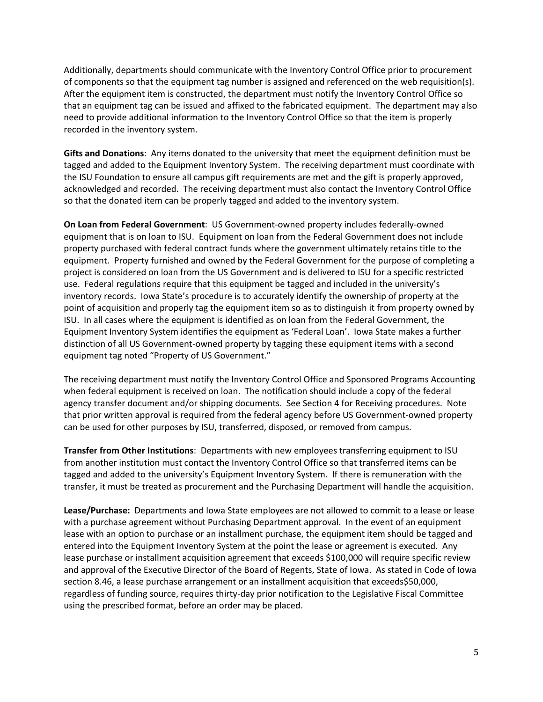Additionally, departments should communicate with the Inventory Control Office prior to procurement of components so that the equipment tag number is assigned and referenced on the web requisition(s). After the equipment item is constructed, the department must notify the Inventory Control Office so that an equipment tag can be issued and affixed to the fabricated equipment. The department may also need to provide additional information to the Inventory Control Office so that the item is properly recorded in the inventory system.

**Gifts and Donations**: Any items donated to the university that meet the equipment definition must be tagged and added to the Equipment Inventory System. The receiving department must coordinate with the ISU Foundation to ensure all campus gift requirements are met and the gift is properly approved, acknowledged and recorded. The receiving department must also contact the Inventory Control Office so that the donated item can be properly tagged and added to the inventory system.

**On Loan from Federal Government**: US Government‐owned property includes federally‐owned equipment that is on loan to ISU. Equipment on loan from the Federal Government does not include property purchased with federal contract funds where the government ultimately retains title to the equipment. Property furnished and owned by the Federal Government for the purpose of completing a project is considered on loan from the US Government and is delivered to ISU for a specific restricted use. Federal regulations require that this equipment be tagged and included in the university's inventory records. Iowa State's procedure is to accurately identify the ownership of property at the point of acquisition and properly tag the equipment item so as to distinguish it from property owned by ISU. In all cases where the equipment is identified as on loan from the Federal Government, the Equipment Inventory System identifies the equipment as 'Federal Loan'. Iowa State makes a further distinction of all US Government‐owned property by tagging these equipment items with a second equipment tag noted "Property of US Government."

The receiving department must notify the Inventory Control Office and Sponsored Programs Accounting when federal equipment is received on loan. The notification should include a copy of the federal agency transfer document and/or shipping documents. See Section 4 for Receiving procedures. Note that prior written approval is required from the federal agency before US Government‐owned property can be used for other purposes by ISU, transferred, disposed, or removed from campus.

**Transfer from Other Institutions**: Departments with new employees transferring equipment to ISU from another institution must contact the Inventory Control Office so that transferred items can be tagged and added to the university's Equipment Inventory System. If there is remuneration with the transfer, it must be treated as procurement and the Purchasing Department will handle the acquisition.

**Lease/Purchase:** Departments and Iowa State employees are not allowed to commit to a lease or lease with a purchase agreement without Purchasing Department approval. In the event of an equipment lease with an option to purchase or an installment purchase, the equipment item should be tagged and entered into the Equipment Inventory System at the point the lease or agreement is executed. Any lease purchase or installment acquisition agreement that exceeds \$100,000 will require specific review and approval of the Executive Director of the Board of Regents, State of Iowa. As stated in Code of Iowa section 8.46, a lease purchase arrangement or an installment acquisition that exceeds\$50,000, regardless of funding source, requires thirty‐day prior notification to the Legislative Fiscal Committee using the prescribed format, before an order may be placed.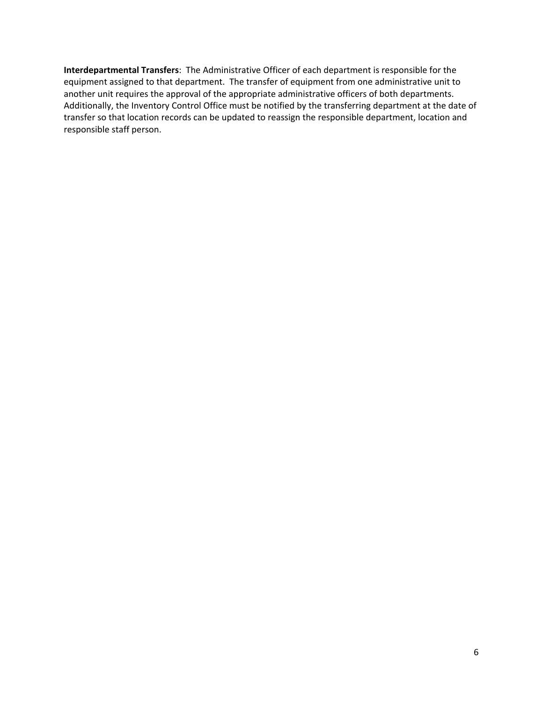**Interdepartmental Transfers**: The Administrative Officer of each department is responsible for the equipment assigned to that department. The transfer of equipment from one administrative unit to another unit requires the approval of the appropriate administrative officers of both departments. Additionally, the Inventory Control Office must be notified by the transferring department at the date of transfer so that location records can be updated to reassign the responsible department, location and responsible staff person.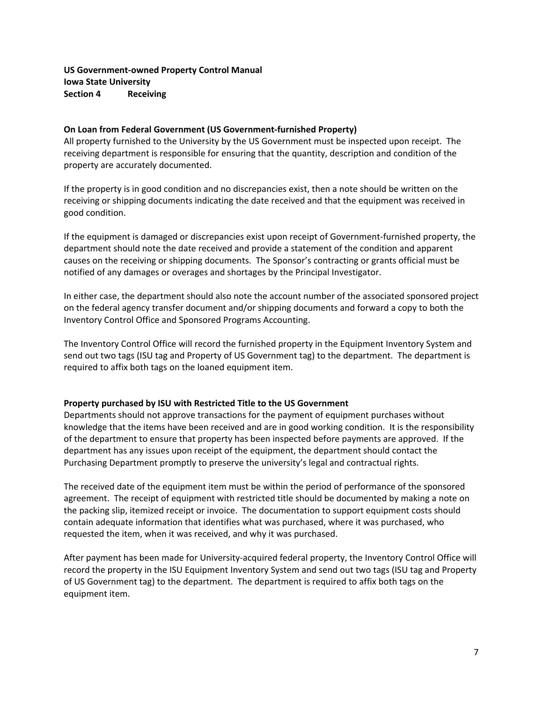## **US Government‐owned Property Control Manual Iowa State University Section 4 Receiving**

#### **On Loan from Federal Government (US Government‐furnished Property)**

All property furnished to the University by the US Government must be inspected upon receipt. The receiving department is responsible for ensuring that the quantity, description and condition of the property are accurately documented.

If the property is in good condition and no discrepancies exist, then a note should be written on the receiving or shipping documents indicating the date received and that the equipment was received in good condition.

If the equipment is damaged or discrepancies exist upon receipt of Government‐furnished property, the department should note the date received and provide a statement of the condition and apparent causes on the receiving or shipping documents. The Sponsor's contracting or grants official must be notified of any damages or overages and shortages by the Principal Investigator.

In either case, the department should also note the account number of the associated sponsored project on the federal agency transfer document and/or shipping documents and forward a copy to both the Inventory Control Office and Sponsored Programs Accounting.

The Inventory Control Office will record the furnished property in the Equipment Inventory System and send out two tags (ISU tag and Property of US Government tag) to the department. The department is required to affix both tags on the loaned equipment item.

#### **Property purchased by ISU with Restricted Title to the US Government**

Departments should not approve transactions for the payment of equipment purchases without knowledge that the items have been received and are in good working condition. It is the responsibility of the department to ensure that property has been inspected before payments are approved. If the department has any issues upon receipt of the equipment, the department should contact the Purchasing Department promptly to preserve the university's legal and contractual rights.

The received date of the equipment item must be within the period of performance of the sponsored agreement. The receipt of equipment with restricted title should be documented by making a note on the packing slip, itemized receipt or invoice. The documentation to support equipment costs should contain adequate information that identifies what was purchased, where it was purchased, who requested the item, when it was received, and why it was purchased.

After payment has been made for University‐acquired federal property, the Inventory Control Office will record the property in the ISU Equipment Inventory System and send out two tags (ISU tag and Property of US Government tag) to the department. The department is required to affix both tags on the equipment item.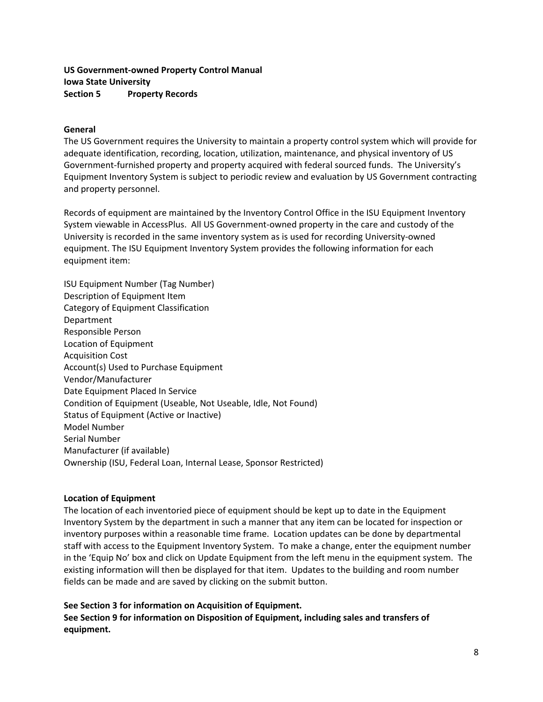### **US Government‐owned Property Control Manual Iowa State University Section 5 Property Records**

#### **General**

The US Government requires the University to maintain a property control system which will provide for adequate identification, recording, location, utilization, maintenance, and physical inventory of US Government-furnished property and property acquired with federal sourced funds. The University's Equipment Inventory System is subject to periodic review and evaluation by US Government contracting and property personnel.

Records of equipment are maintained by the Inventory Control Office in the ISU Equipment Inventory System viewable in AccessPlus. All US Government‐owned property in the care and custody of the University is recorded in the same inventory system as is used for recording University‐owned equipment. The ISU Equipment Inventory System provides the following information for each equipment item:

ISU Equipment Number (Tag Number) Description of Equipment Item Category of Equipment Classification Department Responsible Person Location of Equipment Acquisition Cost Account(s) Used to Purchase Equipment Vendor/Manufacturer Date Equipment Placed In Service Condition of Equipment (Useable, Not Useable, Idle, Not Found) Status of Equipment (Active or Inactive) Model Number Serial Number Manufacturer (if available) Ownership (ISU, Federal Loan, Internal Lease, Sponsor Restricted)

#### **Location of Equipment**

The location of each inventoried piece of equipment should be kept up to date in the Equipment Inventory System by the department in such a manner that any item can be located for inspection or inventory purposes within a reasonable time frame. Location updates can be done by departmental staff with access to the Equipment Inventory System. To make a change, enter the equipment number in the 'Equip No' box and click on Update Equipment from the left menu in the equipment system. The existing information will then be displayed for that item. Updates to the building and room number fields can be made and are saved by clicking on the submit button.

**See Section 3 for information on Acquisition of Equipment.**

**See Section 9 for information on Disposition of Equipment, including sales and transfers of equipment.**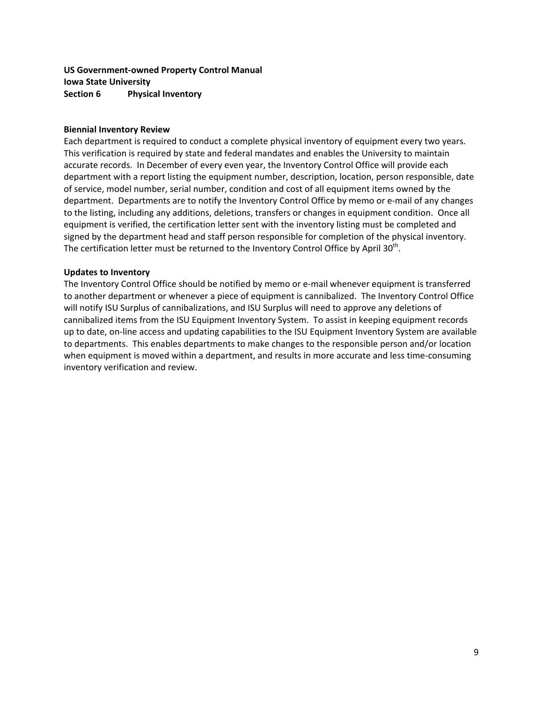## **US Government‐owned Property Control Manual Iowa State University Section 6 Physical Inventory**

#### **Biennial Inventory Review**

Each department is required to conduct a complete physical inventory of equipment every two years. This verification is required by state and federal mandates and enables the University to maintain accurate records. In December of every even year, the Inventory Control Office will provide each department with a report listing the equipment number, description, location, person responsible, date of service, model number, serial number, condition and cost of all equipment items owned by the department. Departments are to notify the Inventory Control Office by memo or e-mail of any changes to the listing, including any additions, deletions, transfers or changes in equipment condition. Once all equipment is verified, the certification letter sent with the inventory listing must be completed and signed by the department head and staff person responsible for completion of the physical inventory. The certification letter must be returned to the Inventory Control Office by April 30<sup>th</sup>.

#### **Updates to Inventory**

The Inventory Control Office should be notified by memo or e‐mail whenever equipment is transferred to another department or whenever a piece of equipment is cannibalized. The Inventory Control Office will notify ISU Surplus of cannibalizations, and ISU Surplus will need to approve any deletions of cannibalized items from the ISU Equipment Inventory System. To assist in keeping equipment records up to date, on‐line access and updating capabilities to the ISU Equipment Inventory System are available to departments. This enables departments to make changes to the responsible person and/or location when equipment is moved within a department, and results in more accurate and less time-consuming inventory verification and review.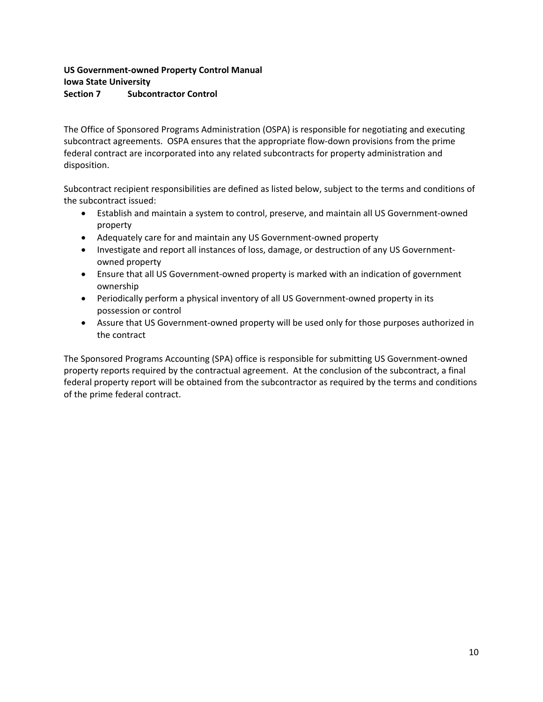### **US Government‐owned Property Control Manual Iowa State University Section 7 Subcontractor Control**

The Office of Sponsored Programs Administration (OSPA) is responsible for negotiating and executing subcontract agreements. OSPA ensures that the appropriate flow-down provisions from the prime federal contract are incorporated into any related subcontracts for property administration and disposition.

Subcontract recipient responsibilities are defined as listed below, subject to the terms and conditions of the subcontract issued:

- Establish and maintain a system to control, preserve, and maintain all US Government‐owned property
- Adequately care for and maintain any US Government-owned property
- Investigate and report all instances of loss, damage, or destruction of any US Government in owned property
- Ensure that all US Government‐owned property is marked with an indication of government ownership
- Periodically perform a physical inventory of all US Government-owned property in its possession or control
- Assure that US Government-owned property will be used only for those purposes authorized in the contract

The Sponsored Programs Accounting (SPA) office is responsible for submitting US Government‐owned property reports required by the contractual agreement. At the conclusion of the subcontract, a final federal property report will be obtained from the subcontractor as required by the terms and conditions of the prime federal contract.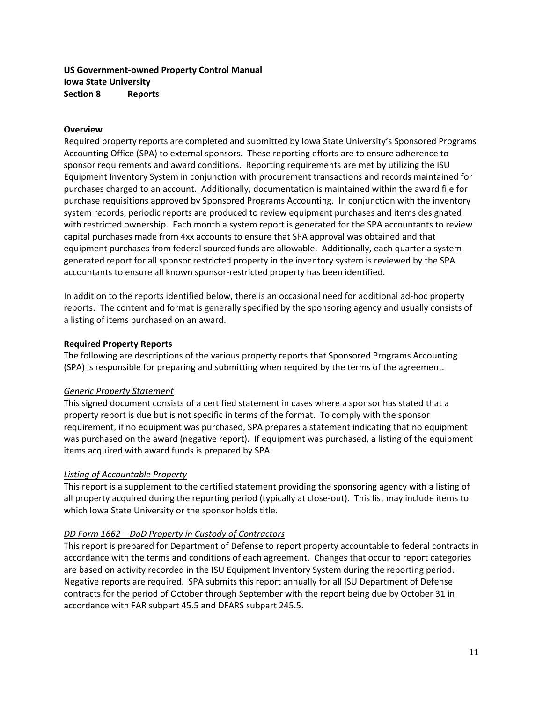## **US Government‐owned Property Control Manual Iowa State University Section 8 Reports**

#### **Overview**

Required property reports are completed and submitted by Iowa State University's Sponsored Programs Accounting Office (SPA) to external sponsors. These reporting efforts are to ensure adherence to sponsor requirements and award conditions. Reporting requirements are met by utilizing the ISU Equipment Inventory System in conjunction with procurement transactions and records maintained for purchases charged to an account. Additionally, documentation is maintained within the award file for purchase requisitions approved by Sponsored Programs Accounting. In conjunction with the inventory system records, periodic reports are produced to review equipment purchases and items designated with restricted ownership. Each month a system report is generated for the SPA accountants to review capital purchases made from 4xx accounts to ensure that SPA approval was obtained and that equipment purchases from federal sourced funds are allowable. Additionally, each quarter a system generated report for all sponsor restricted property in the inventory system is reviewed by the SPA accountants to ensure all known sponsor‐restricted property has been identified.

In addition to the reports identified below, there is an occasional need for additional ad‐hoc property reports. The content and format is generally specified by the sponsoring agency and usually consists of a listing of items purchased on an award.

#### **Required Property Reports**

The following are descriptions of the various property reports that Sponsored Programs Accounting (SPA) is responsible for preparing and submitting when required by the terms of the agreement.

#### *Generic Property Statement*

This signed document consists of a certified statement in cases where a sponsor has stated that a property report is due but is not specific in terms of the format. To comply with the sponsor requirement, if no equipment was purchased, SPA prepares a statement indicating that no equipment was purchased on the award (negative report). If equipment was purchased, a listing of the equipment items acquired with award funds is prepared by SPA.

#### *Listing of Accountable Property*

This report is a supplement to the certified statement providing the sponsoring agency with a listing of all property acquired during the reporting period (typically at close‐out). This list may include items to which Iowa State University or the sponsor holds title.

#### *DD Form 1662 – DoD Property in Custody of Contractors*

This report is prepared for Department of Defense to report property accountable to federal contracts in accordance with the terms and conditions of each agreement. Changes that occur to report categories are based on activity recorded in the ISU Equipment Inventory System during the reporting period. Negative reports are required. SPA submits this report annually for all ISU Department of Defense contracts for the period of October through September with the report being due by October 31 in accordance with FAR subpart 45.5 and DFARS subpart 245.5.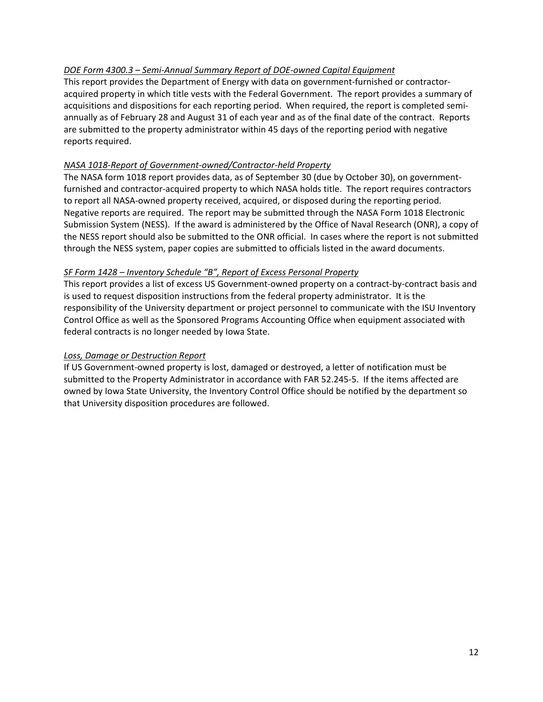## *DOE Form 4300.3 – Semi‐Annual Summary Report of DOE‐owned Capital Equipment*

This report provides the Department of Energy with data on government-furnished or contractoracquired property in which title vests with the Federal Government. The report provides a summary of acquisitions and dispositions for each reporting period. When required, the report is completed semi‐ annually as of February 28 and August 31 of each year and as of the final date of the contract. Reports are submitted to the property administrator within 45 days of the reporting period with negative reports required.

## *NASA 1018‐Report of Government‐owned/Contractor‐held Property*

The NASA form 1018 report provides data, as of September 30 (due by October 30), on government‐ furnished and contractor-acquired property to which NASA holds title. The report requires contractors to report all NASA‐owned property received, acquired, or disposed during the reporting period. Negative reports are required. The report may be submitted through the NASA Form 1018 Electronic Submission System (NESS). If the award is administered by the Office of Naval Research (ONR), a copy of the NESS report should also be submitted to the ONR official. In cases where the report is not submitted through the NESS system, paper copies are submitted to officials listed in the award documents.

## *SF Form 1428 – Inventory Schedule "B", Report of Excess Personal Property*

This report provides a list of excess US Government-owned property on a contract-by-contract basis and is used to request disposition instructions from the federal property administrator. It is the responsibility of the University department or project personnel to communicate with the ISU Inventory Control Office as well as the Sponsored Programs Accounting Office when equipment associated with federal contracts is no longer needed by Iowa State.

### *Loss, Damage or Destruction Report*

If US Government‐owned property is lost, damaged or destroyed, a letter of notification must be submitted to the Property Administrator in accordance with FAR 52.245‐5. If the items affected are owned by Iowa State University, the Inventory Control Office should be notified by the department so that University disposition procedures are followed.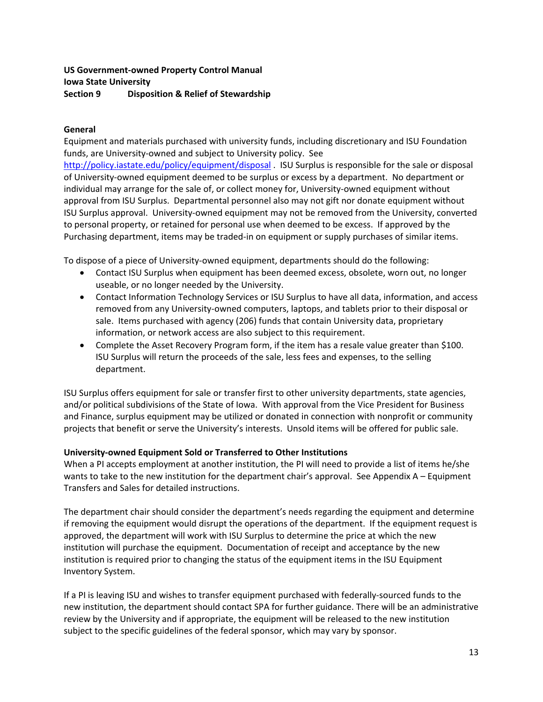### **US Government‐owned Property Control Manual Iowa State University Section 9 Disposition & Relief of Stewardship**

# **General**

Equipment and materials purchased with university funds, including discretionary and ISU Foundation funds, are University‐owned and subject to University policy. See

http://policy.iastate.edu/policy/equipment/disposal . ISU Surplus is responsible for the sale or disposal of University‐owned equipment deemed to be surplus or excess by a department. No department or individual may arrange for the sale of, or collect money for, University-owned equipment without approval from ISU Surplus. Departmental personnel also may not gift nor donate equipment without ISU Surplus approval. University‐owned equipment may not be removed from the University, converted to personal property, or retained for personal use when deemed to be excess. If approved by the Purchasing department, items may be traded‐in on equipment or supply purchases of similar items.

To dispose of a piece of University‐owned equipment, departments should do the following:

- Contact ISU Surplus when equipment has been deemed excess, obsolete, worn out, no longer useable, or no longer needed by the University.
- Contact Information Technology Services or ISU Surplus to have all data, information, and access removed from any University‐owned computers, laptops, and tablets prior to their disposal or sale. Items purchased with agency (206) funds that contain University data, proprietary information, or network access are also subject to this requirement.
- Complete the Asset Recovery Program form, if the item has a resale value greater than \$100. ISU Surplus will return the proceeds of the sale, less fees and expenses, to the selling department.

ISU Surplus offers equipment for sale or transfer first to other university departments, state agencies, and/or political subdivisions of the State of Iowa. With approval from the Vice President for Business and Finance, surplus equipment may be utilized or donated in connection with nonprofit or community projects that benefit or serve the University's interests. Unsold items will be offered for public sale.

# **University‐owned Equipment Sold or Transferred to Other Institutions**

When a PI accepts employment at another institution, the PI will need to provide a list of items he/she wants to take to the new institution for the department chair's approval. See Appendix A – Equipment Transfers and Sales for detailed instructions.

The department chair should consider the department's needs regarding the equipment and determine if removing the equipment would disrupt the operations of the department. If the equipment request is approved, the department will work with ISU Surplus to determine the price at which the new institution will purchase the equipment. Documentation of receipt and acceptance by the new institution is required prior to changing the status of the equipment items in the ISU Equipment Inventory System.

If a PI is leaving ISU and wishes to transfer equipment purchased with federally‐sourced funds to the new institution, the department should contact SPA for further guidance. There will be an administrative review by the University and if appropriate, the equipment will be released to the new institution subject to the specific guidelines of the federal sponsor, which may vary by sponsor.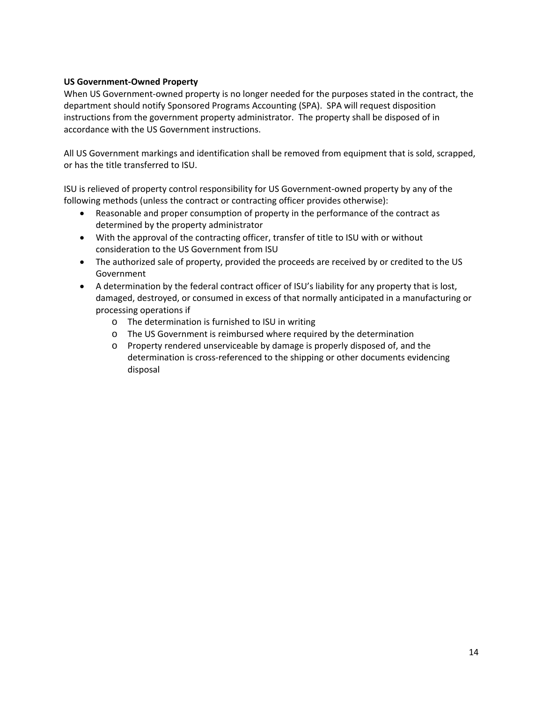## **US Government‐Owned Property**

When US Government-owned property is no longer needed for the purposes stated in the contract, the department should notify Sponsored Programs Accounting (SPA). SPA will request disposition instructions from the government property administrator. The property shall be disposed of in accordance with the US Government instructions.

All US Government markings and identification shall be removed from equipment that is sold, scrapped, or has the title transferred to ISU.

ISU is relieved of property control responsibility for US Government‐owned property by any of the following methods (unless the contract or contracting officer provides otherwise):

- Reasonable and proper consumption of property in the performance of the contract as determined by the property administrator
- With the approval of the contracting officer, transfer of title to ISU with or without consideration to the US Government from ISU
- The authorized sale of property, provided the proceeds are received by or credited to the US Government
- A determination by the federal contract officer of ISU's liability for any property that is lost, damaged, destroyed, or consumed in excess of that normally anticipated in a manufacturing or processing operations if
	- o The determination is furnished to ISU in writing
	- o The US Government is reimbursed where required by the determination
	- o Property rendered unserviceable by damage is properly disposed of, and the determination is cross‐referenced to the shipping or other documents evidencing disposal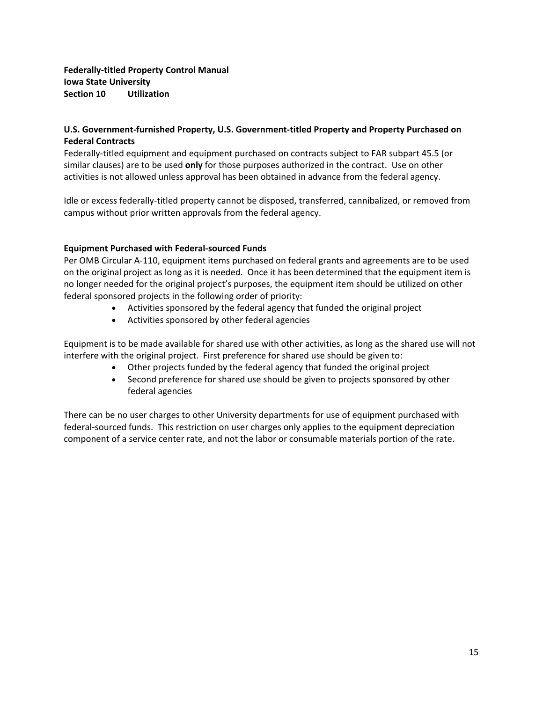# **Federally‐titled Property Control Manual Iowa State University Section 10 Utilization**

# **U.S. Government‐furnished Property, U.S. Government‐titled Property and Property Purchased on Federal Contracts**

Federally‐titled equipment and equipment purchased on contracts subject to FAR subpart 45.5 (or similar clauses) are to be used **only** for those purposes authorized in the contract. Use on other activities is not allowed unless approval has been obtained in advance from the federal agency.

Idle or excess federally‐titled property cannot be disposed, transferred, cannibalized, or removed from campus without prior written approvals from the federal agency.

## **Equipment Purchased with Federal‐sourced Funds**

Per OMB Circular A‐110, equipment items purchased on federal grants and agreements are to be used on the original project as long as it is needed. Once it has been determined that the equipment item is no longer needed for the original project's purposes, the equipment item should be utilized on other federal sponsored projects in the following order of priority:

- Activities sponsored by the federal agency that funded the original project
- Activities sponsored by other federal agencies

Equipment is to be made available for shared use with other activities, as long as the shared use will not interfere with the original project. First preference for shared use should be given to:

- Other projects funded by the federal agency that funded the original project
- Second preference for shared use should be given to projects sponsored by other federal agencies

There can be no user charges to other University departments for use of equipment purchased with federal‐sourced funds. This restriction on user charges only applies to the equipment depreciation component of a service center rate, and not the labor or consumable materials portion of the rate.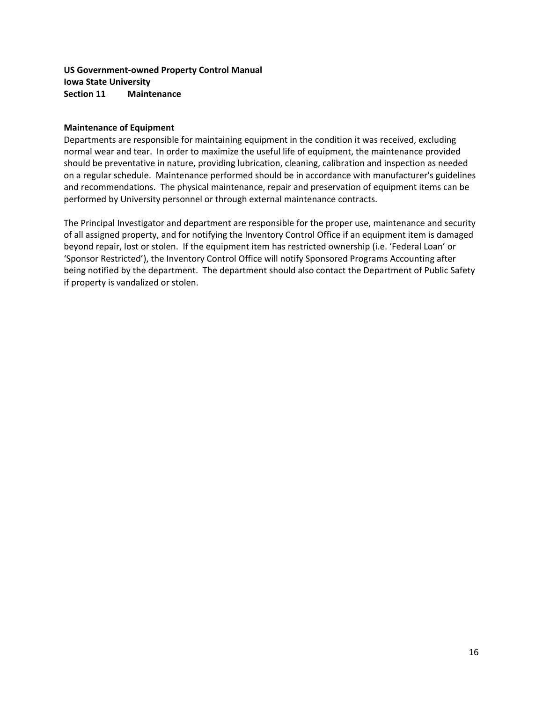## **US Government‐owned Property Control Manual Iowa State University Section 11 Maintenance**

#### **Maintenance of Equipment**

Departments are responsible for maintaining equipment in the condition it was received, excluding normal wear and tear. In order to maximize the useful life of equipment, the maintenance provided should be preventative in nature, providing lubrication, cleaning, calibration and inspection as needed on a regular schedule. Maintenance performed should be in accordance with manufacturer's guidelines and recommendations. The physical maintenance, repair and preservation of equipment items can be performed by University personnel or through external maintenance contracts.

The Principal Investigator and department are responsible for the proper use, maintenance and security of all assigned property, and for notifying the Inventory Control Office if an equipment item is damaged beyond repair, lost or stolen. If the equipment item has restricted ownership (i.e. 'Federal Loan' or 'Sponsor Restricted'), the Inventory Control Office will notify Sponsored Programs Accounting after being notified by the department. The department should also contact the Department of Public Safety if property is vandalized or stolen.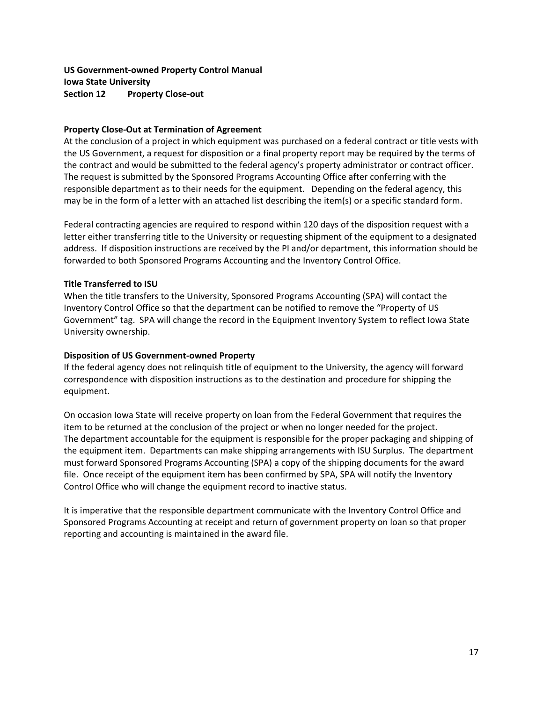# **US Government‐owned Property Control Manual Iowa State University Section 12 Property Close‐out**

#### **Property Close‐Out at Termination of Agreement**

At the conclusion of a project in which equipment was purchased on a federal contract or title vests with the US Government, a request for disposition or a final property report may be required by the terms of the contract and would be submitted to the federal agency's property administrator or contract officer. The request is submitted by the Sponsored Programs Accounting Office after conferring with the responsible department as to their needs for the equipment. Depending on the federal agency, this may be in the form of a letter with an attached list describing the item(s) or a specific standard form.

Federal contracting agencies are required to respond within 120 days of the disposition request with a letter either transferring title to the University or requesting shipment of the equipment to a designated address. If disposition instructions are received by the PI and/or department, this information should be forwarded to both Sponsored Programs Accounting and the Inventory Control Office.

#### **Title Transferred to ISU**

When the title transfers to the University, Sponsored Programs Accounting (SPA) will contact the Inventory Control Office so that the department can be notified to remove the "Property of US Government" tag. SPA will change the record in the Equipment Inventory System to reflect Iowa State University ownership.

### **Disposition of US Government‐owned Property**

If the federal agency does not relinquish title of equipment to the University, the agency will forward correspondence with disposition instructions as to the destination and procedure for shipping the equipment.

On occasion Iowa State will receive property on loan from the Federal Government that requires the item to be returned at the conclusion of the project or when no longer needed for the project. The department accountable for the equipment is responsible for the proper packaging and shipping of the equipment item. Departments can make shipping arrangements with ISU Surplus. The department must forward Sponsored Programs Accounting (SPA) a copy of the shipping documents for the award file. Once receipt of the equipment item has been confirmed by SPA, SPA will notify the Inventory Control Office who will change the equipment record to inactive status.

It is imperative that the responsible department communicate with the Inventory Control Office and Sponsored Programs Accounting at receipt and return of government property on loan so that proper reporting and accounting is maintained in the award file.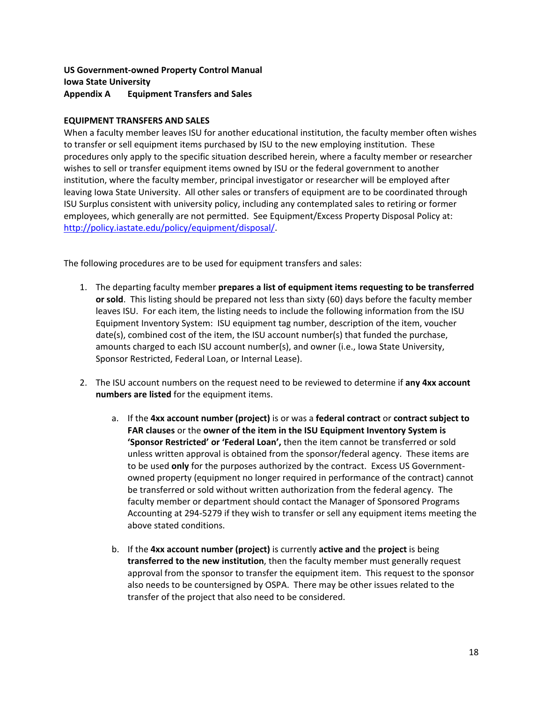### **US Government‐owned Property Control Manual Iowa State University Appendix A Equipment Transfers and Sales**

## **EQUIPMENT TRANSFERS AND SALES**

When a faculty member leaves ISU for another educational institution, the faculty member often wishes to transfer or sell equipment items purchased by ISU to the new employing institution. These procedures only apply to the specific situation described herein, where a faculty member or researcher wishes to sell or transfer equipment items owned by ISU or the federal government to another institution, where the faculty member, principal investigator or researcher will be employed after leaving Iowa State University. All other sales or transfers of equipment are to be coordinated through ISU Surplus consistent with university policy, including any contemplated sales to retiring or former employees, which generally are not permitted. See Equipment/Excess Property Disposal Policy at: http://policy.iastate.edu/policy/equipment/disposal/.

The following procedures are to be used for equipment transfers and sales:

- 1. The departing faculty member **prepares a list of equipment items requesting to be transferred or sold**. This listing should be prepared not less than sixty (60) days before the faculty member leaves ISU. For each item, the listing needs to include the following information from the ISU Equipment Inventory System: ISU equipment tag number, description of the item, voucher date(s), combined cost of the item, the ISU account number(s) that funded the purchase, amounts charged to each ISU account number(s), and owner (i.e., Iowa State University, Sponsor Restricted, Federal Loan, or Internal Lease).
- 2. The ISU account numbers on the request need to be reviewed to determine if **any 4xx account numbers are listed** for the equipment items.
	- a. If the **4xx account number (project)** is or was a **federal contract** or **contract subject to FAR clauses** or the **owner of the item in the ISU Equipment Inventory System is 'Sponsor Restricted' or 'Federal Loan',** then the item cannot be transferred or sold unless written approval is obtained from the sponsor/federal agency. These items are to be used only for the purposes authorized by the contract. Excess US Governmentowned property (equipment no longer required in performance of the contract) cannot be transferred or sold without written authorization from the federal agency. The faculty member or department should contact the Manager of Sponsored Programs Accounting at 294‐5279 if they wish to transfer or sell any equipment items meeting the above stated conditions.
	- b. If the **4xx account number (project)** is currently **active and** the **project** is being **transferred to the new institution**, then the faculty member must generally request approval from the sponsor to transfer the equipment item. This request to the sponsor also needs to be countersigned by OSPA. There may be other issues related to the transfer of the project that also need to be considered.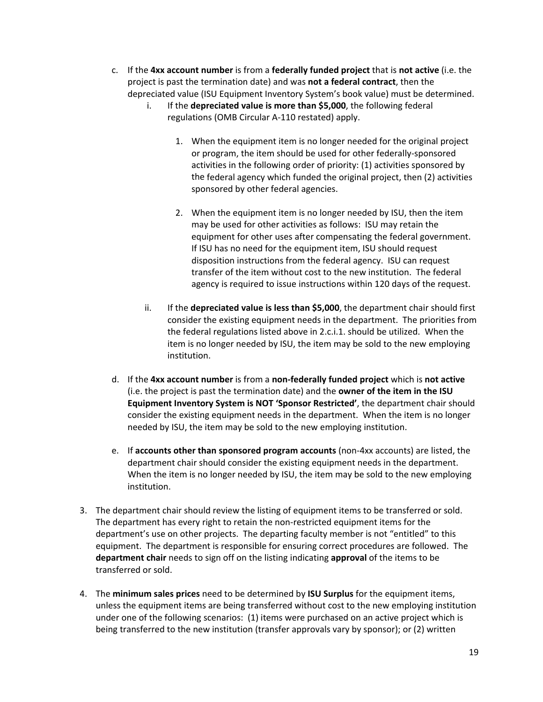- c. If the **4xx account number** is from a **federally funded project** that is **not active** (i.e. the project is past the termination date) and was **not a federal contract**, then the depreciated value (ISU Equipment Inventory System's book value) must be determined.
	- i. If the **depreciated value is more than \$5,000**, the following federal regulations (OMB Circular A‐110 restated) apply.
		- 1. When the equipment item is no longer needed for the original project or program, the item should be used for other federally‐sponsored activities in the following order of priority: (1) activities sponsored by the federal agency which funded the original project, then (2) activities sponsored by other federal agencies.
		- 2. When the equipment item is no longer needed by ISU, then the item may be used for other activities as follows: ISU may retain the equipment for other uses after compensating the federal government. If ISU has no need for the equipment item, ISU should request disposition instructions from the federal agency. ISU can request transfer of the item without cost to the new institution. The federal agency is required to issue instructions within 120 days of the request.
	- ii. If the **depreciated value is less than \$5,000**, the department chair should first consider the existing equipment needs in the department. The priorities from the federal regulations listed above in 2.c.i.1. should be utilized. When the item is no longer needed by ISU, the item may be sold to the new employing institution.
- d. If the **4xx account number** is from a **non‐federally funded project** which is **not active** (i.e. the project is past the termination date) and the **owner of the item in the ISU Equipment Inventory System is NOT 'Sponsor Restricted'**, the department chair should consider the existing equipment needs in the department. When the item is no longer needed by ISU, the item may be sold to the new employing institution.
- e. If **accounts other than sponsored program accounts** (non‐4xx accounts) are listed, the department chair should consider the existing equipment needs in the department. When the item is no longer needed by ISU, the item may be sold to the new employing institution.
- 3. The department chair should review the listing of equipment items to be transferred or sold. The department has every right to retain the non-restricted equipment items for the department's use on other projects. The departing faculty member is not "entitled" to this equipment. The department is responsible for ensuring correct procedures are followed. The **department chair** needs to sign off on the listing indicating **approval** of the items to be transferred or sold.
- 4. The **minimum sales prices** need to be determined by **ISU Surplus** for the equipment items, unless the equipment items are being transferred without cost to the new employing institution under one of the following scenarios: (1) items were purchased on an active project which is being transferred to the new institution (transfer approvals vary by sponsor); or (2) written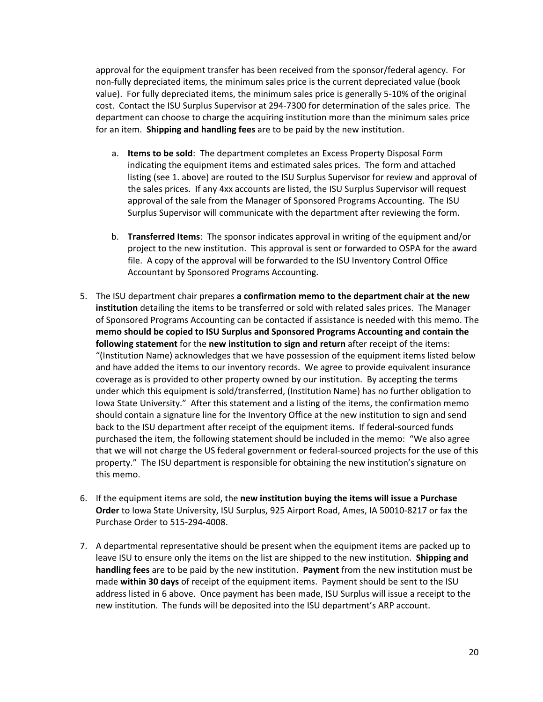approval for the equipment transfer has been received from the sponsor/federal agency. For non-fully depreciated items, the minimum sales price is the current depreciated value (book value). For fully depreciated items, the minimum sales price is generally 5‐10% of the original cost. Contact the ISU Surplus Supervisor at 294‐7300 for determination of the sales price. The department can choose to charge the acquiring institution more than the minimum sales price for an item. **Shipping and handling fees** are to be paid by the new institution.

- a. **Items to be sold**: The department completes an Excess Property Disposal Form indicating the equipment items and estimated sales prices. The form and attached listing (see 1. above) are routed to the ISU Surplus Supervisor for review and approval of the sales prices. If any 4xx accounts are listed, the ISU Surplus Supervisor will request approval of the sale from the Manager of Sponsored Programs Accounting. The ISU Surplus Supervisor will communicate with the department after reviewing the form.
- b. **Transferred Items**: The sponsor indicates approval in writing of the equipment and/or project to the new institution. This approval is sent or forwarded to OSPA for the award file. A copy of the approval will be forwarded to the ISU Inventory Control Office Accountant by Sponsored Programs Accounting.
- 5. The ISU department chair prepares **a confirmation memo to the department chair at the new institution** detailing the items to be transferred or sold with related sales prices. The Manager of Sponsored Programs Accounting can be contacted if assistance is needed with this memo. The **memo should be copied to ISU Surplus and Sponsored Programs Accounting and contain the following statement** for the **new institution to sign and return** after receipt of the items: "(Institution Name) acknowledges that we have possession of the equipment items listed below and have added the items to our inventory records. We agree to provide equivalent insurance coverage as is provided to other property owned by our institution. By accepting the terms under which this equipment is sold/transferred, (Institution Name) has no further obligation to Iowa State University." After this statement and a listing of the items, the confirmation memo should contain a signature line for the Inventory Office at the new institution to sign and send back to the ISU department after receipt of the equipment items. If federal‐sourced funds purchased the item, the following statement should be included in the memo: "We also agree that we will not charge the US federal government or federal‐sourced projects for the use of this property." The ISU department is responsible for obtaining the new institution's signature on this memo.
- 6. If the equipment items are sold, the **new institution buying the items will issue a Purchase Order** to Iowa State University, ISU Surplus, 925 Airport Road, Ames, IA 50010‐8217 or fax the Purchase Order to 515‐294-4008.
- 7. A departmental representative should be present when the equipment items are packed up to leave ISU to ensure only the items on the list are shipped to the new institution. **Shipping and handling fees** are to be paid by the new institution. **Payment** from the new institution must be made **within 30 days** of receipt of the equipment items. Payment should be sent to the ISU address listed in 6 above. Once payment has been made, ISU Surplus will issue a receipt to the new institution. The funds will be deposited into the ISU department's ARP account.